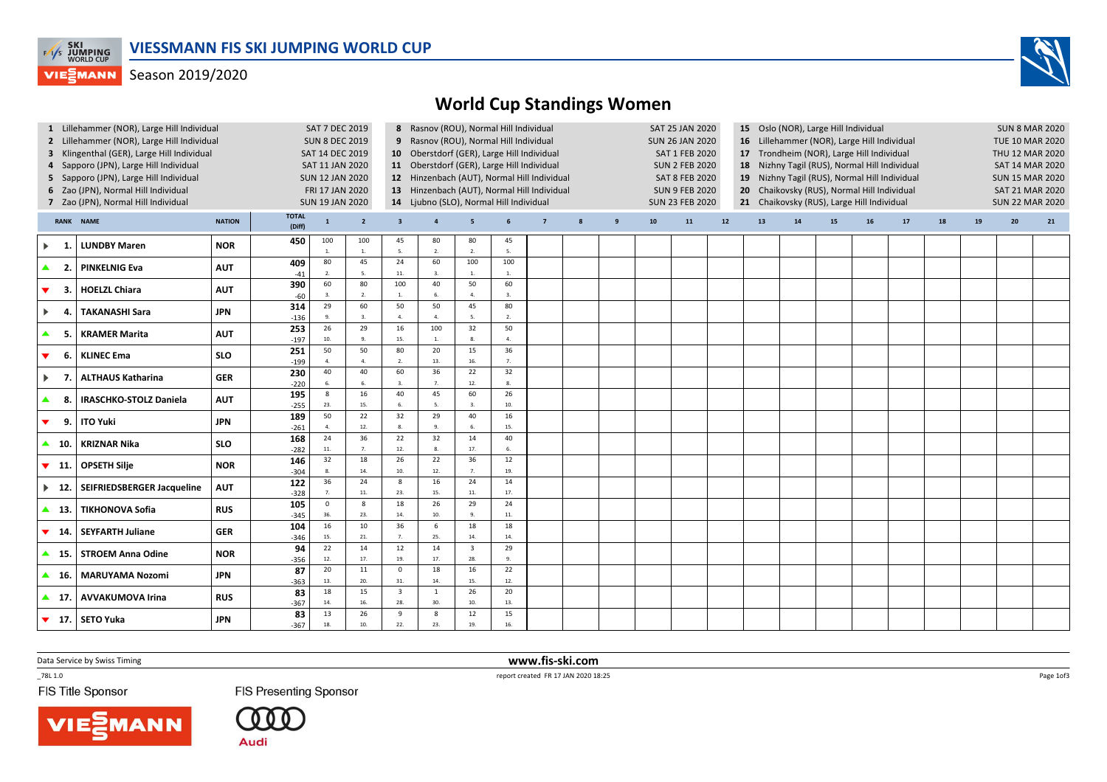

## **VIESMANN** Season 2019/2020



| 1 Lillehammer (NOR), Large Hill Individual<br>2 Lillehammer (NOR), Large Hill Individual<br>3 Klingenthal (GER), Large Hill Individual<br>4 Sapporo (JPN), Large Hill Individual<br>5 Sapporo (JPN), Large Hill Individual<br>6 Zao (JPN), Normal Hill Individual<br>7 Zao (JPN), Normal Hill Individual |                                    |               |                        | <b>SAT 7 DEC 2019</b><br><b>SUN 8 DEC 2019</b><br>SAT 14 DEC 2019<br>SAT 11 JAN 2020<br><b>SUN 12 JAN 2020</b><br>FRI 17 JAN 2020<br><b>SUN 19 JAN 2020</b> |                      |                                | 8 Rasnov (ROU), Normal Hill Individual<br>9 Rasnov (ROU), Normal Hill Individual<br>10 Oberstdorf (GER), Large Hill Individual<br>11 Oberstdorf (GER), Large Hill Individual<br>14 Ljubno (SLO), Normal Hill Individual |                       |             | 12 Hinzenbach (AUT), Normal Hill Individual<br>13 Hinzenbach (AUT), Normal Hill Individual |   |   | SAT 25 JAN 2020<br><b>SUN 26 JAN 2020</b><br>SAT 1 FEB 2020<br><b>SUN 2 FEB 2020</b><br><b>SAT 8 FEB 2020</b><br><b>SUN 9 FEB 2020</b><br><b>SUN 23 FEB 2020</b> |    |    | 15 Oslo (NOR), Large Hill Individual<br>16 Lillehammer (NOR), Large Hill Individual<br>17 Trondheim (NOR), Large Hill Individual<br>Nizhny Tagil (RUS), Normal Hill Individual<br>18<br>19 Nizhny Tagil (RUS), Normal Hill Individual<br>Chaikovsky (RUS), Normal Hill Individual<br>20<br>21 Chaikovsky (RUS), Large Hill Individual |    |    |    |    |    | <b>SUN 8 MAR 2020</b><br><b>TUE 10 MAR 2020</b><br>THU 12 MAR 2020<br>SAT 14 MAR 2020<br><b>SUN 15 MAR 2020</b><br><b>SAT 21 MAR 2020</b><br><b>SUN 22 MAR 2020</b> |    |    |  |
|----------------------------------------------------------------------------------------------------------------------------------------------------------------------------------------------------------------------------------------------------------------------------------------------------------|------------------------------------|---------------|------------------------|-------------------------------------------------------------------------------------------------------------------------------------------------------------|----------------------|--------------------------------|-------------------------------------------------------------------------------------------------------------------------------------------------------------------------------------------------------------------------|-----------------------|-------------|--------------------------------------------------------------------------------------------|---|---|------------------------------------------------------------------------------------------------------------------------------------------------------------------|----|----|---------------------------------------------------------------------------------------------------------------------------------------------------------------------------------------------------------------------------------------------------------------------------------------------------------------------------------------|----|----|----|----|----|---------------------------------------------------------------------------------------------------------------------------------------------------------------------|----|----|--|
|                                                                                                                                                                                                                                                                                                          | <b>RANK NAME</b>                   | <b>NATION</b> | <b>TOTAL</b><br>(Diff) | $\mathbf{1}$                                                                                                                                                | $\overline{2}$       | $\overline{\mathbf{3}}$        | $\overline{4}$                                                                                                                                                                                                          | 5                     | 6           | $\overline{7}$                                                                             | 8 | 9 | 10                                                                                                                                                               | 11 | 12 | 13                                                                                                                                                                                                                                                                                                                                    | 14 | 15 | 16 | 17 | 18 | 19                                                                                                                                                                  | 20 | 21 |  |
| $\blacktriangleright$<br>-1                                                                                                                                                                                                                                                                              | <b>LUNDBY Maren</b>                | <b>NOR</b>    | 450                    | 100<br>1.                                                                                                                                                   | 100<br>1.            | 45<br>-5.                      | 80<br>$\overline{2}$                                                                                                                                                                                                    | 80<br>2.              | 45<br>5.    |                                                                                            |   |   |                                                                                                                                                                  |    |    |                                                                                                                                                                                                                                                                                                                                       |    |    |    |    |    |                                                                                                                                                                     |    |    |  |
| $\blacktriangle$<br>$\overline{2}$                                                                                                                                                                                                                                                                       | <b>PINKELNIG Eva</b>               | <b>AUT</b>    | 409<br>$-41$           | 80<br>2.                                                                                                                                                    | 45<br>$-5$           | 24<br>$11.$                    | 60<br>3.                                                                                                                                                                                                                | 100<br>$\overline{1}$ | 100<br>1.   |                                                                                            |   |   |                                                                                                                                                                  |    |    |                                                                                                                                                                                                                                                                                                                                       |    |    |    |    |    |                                                                                                                                                                     |    |    |  |
| $\blacktriangledown$<br>-3.                                                                                                                                                                                                                                                                              | <b>HOELZL Chiara</b>               | <b>AUT</b>    | 390<br>$-60$           | 60<br>3.                                                                                                                                                    | 80<br>2.             | 100<br>1.                      | 40<br>6.                                                                                                                                                                                                                | 50<br>4.              | 60<br>3.    |                                                                                            |   |   |                                                                                                                                                                  |    |    |                                                                                                                                                                                                                                                                                                                                       |    |    |    |    |    |                                                                                                                                                                     |    |    |  |
| $\blacktriangleright$<br>-4                                                                                                                                                                                                                                                                              | <b>TAKANASHI Sara</b>              | <b>JPN</b>    | 314<br>$-136$          | 29<br>9.                                                                                                                                                    | 60<br>$\overline{3}$ | 50<br>4.                       | 50<br>4.                                                                                                                                                                                                                | 45<br>5.              | 80<br>2.    |                                                                                            |   |   |                                                                                                                                                                  |    |    |                                                                                                                                                                                                                                                                                                                                       |    |    |    |    |    |                                                                                                                                                                     |    |    |  |
| $\blacktriangle$<br>-5.                                                                                                                                                                                                                                                                                  | <b>KRAMER Marita</b>               | <b>AUT</b>    | 253<br>$-197$          | 26<br>$10.$                                                                                                                                                 | 29<br>9.             | 16<br>15.                      | 100<br>$\mathbf{1}$ .                                                                                                                                                                                                   | 32<br>8.              | 50<br>4.    |                                                                                            |   |   |                                                                                                                                                                  |    |    |                                                                                                                                                                                                                                                                                                                                       |    |    |    |    |    |                                                                                                                                                                     |    |    |  |
| -6.<br>$\blacktriangledown$                                                                                                                                                                                                                                                                              | <b>KLINEC Ema</b>                  | <b>SLO</b>    | 251<br>$-199$          | 50<br>4.                                                                                                                                                    | 50<br>$\overline{4}$ | 80<br>2.                       | 20<br>13.                                                                                                                                                                                                               | 15<br>16.             | 36<br>7.    |                                                                                            |   |   |                                                                                                                                                                  |    |    |                                                                                                                                                                                                                                                                                                                                       |    |    |    |    |    |                                                                                                                                                                     |    |    |  |
| $\blacktriangleright$<br>7                                                                                                                                                                                                                                                                               | <b>ALTHAUS Katharina</b>           | <b>GER</b>    | 230<br>$-220$          | 40<br>6.                                                                                                                                                    | 40<br>$\mathbf{f}$   | 60<br>$\mathbf{3}$             | 36<br>$\overline{7}$                                                                                                                                                                                                    | 22<br>12.             | 32<br>8.    |                                                                                            |   |   |                                                                                                                                                                  |    |    |                                                                                                                                                                                                                                                                                                                                       |    |    |    |    |    |                                                                                                                                                                     |    |    |  |
| $\blacktriangle$<br>-8                                                                                                                                                                                                                                                                                   | <b>IRASCHKO-STOLZ Daniela</b>      | <b>AUT</b>    | 195<br>$-255$          | $8\phantom{.}$<br>23.                                                                                                                                       | 16<br>15.            | 40<br>6.                       | 45<br>5.                                                                                                                                                                                                                | 60<br>3.              | 26<br>10.   |                                                                                            |   |   |                                                                                                                                                                  |    |    |                                                                                                                                                                                                                                                                                                                                       |    |    |    |    |    |                                                                                                                                                                     |    |    |  |
| $\blacktriangledown$<br>9.                                                                                                                                                                                                                                                                               | <b>ITO Yuki</b>                    | <b>JPN</b>    | 189<br>$-261$          | 50<br>4.                                                                                                                                                    | 22<br>12.            | 32<br>8.                       | 29<br>9.                                                                                                                                                                                                                | 40<br>6.              | 16<br>15.   |                                                                                            |   |   |                                                                                                                                                                  |    |    |                                                                                                                                                                                                                                                                                                                                       |    |    |    |    |    |                                                                                                                                                                     |    |    |  |
| $\blacktriangle$ 10.                                                                                                                                                                                                                                                                                     | <b>KRIZNAR Nika</b>                | <b>SLO</b>    | 168<br>$-282$          | 24<br>$11. \,$                                                                                                                                              | 36<br>7.             | 22<br>12.                      | 32<br>8.                                                                                                                                                                                                                | 14<br>17.             | 40<br>6.    |                                                                                            |   |   |                                                                                                                                                                  |    |    |                                                                                                                                                                                                                                                                                                                                       |    |    |    |    |    |                                                                                                                                                                     |    |    |  |
| - 11.<br>▼                                                                                                                                                                                                                                                                                               | <b>OPSETH Silje</b>                | <b>NOR</b>    | 146<br>$-304$          | 32<br>8.                                                                                                                                                    | 18<br>14.            | 26<br>10.                      | 22<br>12.                                                                                                                                                                                                               | 36<br>7.              | 12<br>19.   |                                                                                            |   |   |                                                                                                                                                                  |    |    |                                                                                                                                                                                                                                                                                                                                       |    |    |    |    |    |                                                                                                                                                                     |    |    |  |
| $\blacktriangleright$ 12.                                                                                                                                                                                                                                                                                | SEIFRIEDSBERGER Jacqueline         | <b>AUT</b>    | 122<br>$-328$          | 36<br>7.                                                                                                                                                    | 24<br>11.            | 8<br>23.                       | 16<br>15.                                                                                                                                                                                                               | 24<br>11.             | 14<br>17.   |                                                                                            |   |   |                                                                                                                                                                  |    |    |                                                                                                                                                                                                                                                                                                                                       |    |    |    |    |    |                                                                                                                                                                     |    |    |  |
| $\blacktriangle$ 13.                                                                                                                                                                                                                                                                                     | <b>TIKHONOVA Sofia</b>             | <b>RUS</b>    | 105<br>$-345$          | $\mathsf 0$<br>36.                                                                                                                                          | 8<br>23.             | 18<br>14.                      | 26<br>10.                                                                                                                                                                                                               | 29<br>9.              | 24<br>$11.$ |                                                                                            |   |   |                                                                                                                                                                  |    |    |                                                                                                                                                                                                                                                                                                                                       |    |    |    |    |    |                                                                                                                                                                     |    |    |  |
| $\blacktriangledown$<br>- 14.                                                                                                                                                                                                                                                                            | <b>SEYFARTH Juliane</b>            | <b>GER</b>    | 104<br>$-346$          | 16<br>15.                                                                                                                                                   | 10<br>21.            | 36<br>7 <sub>1</sub>           | 6<br>25.                                                                                                                                                                                                                | 18<br>14.             | 18<br>14.   |                                                                                            |   |   |                                                                                                                                                                  |    |    |                                                                                                                                                                                                                                                                                                                                       |    |    |    |    |    |                                                                                                                                                                     |    |    |  |
| $\blacktriangle$ 15.                                                                                                                                                                                                                                                                                     | <b>STROEM Anna Odine</b>           | <b>NOR</b>    | 94<br>$-356$           | 22<br>12.                                                                                                                                                   | 14<br>17.            | 12<br>19.                      | 14<br>17.                                                                                                                                                                                                               | $\overline{3}$<br>28. | 29<br>9.    |                                                                                            |   |   |                                                                                                                                                                  |    |    |                                                                                                                                                                                                                                                                                                                                       |    |    |    |    |    |                                                                                                                                                                     |    |    |  |
| $\blacktriangle$ 16.                                                                                                                                                                                                                                                                                     | <b>MARUYAMA Nozomi</b>             | <b>JPN</b>    | 87<br>$-363$           | 20<br>13.                                                                                                                                                   | $11\,$<br>20.        | $\mathbf{0}$<br>31.            | 18<br>14.                                                                                                                                                                                                               | 16<br>15.             | 22<br>12.   |                                                                                            |   |   |                                                                                                                                                                  |    |    |                                                                                                                                                                                                                                                                                                                                       |    |    |    |    |    |                                                                                                                                                                     |    |    |  |
| $\blacktriangle$ 17                                                                                                                                                                                                                                                                                      | <b>AVVAKUMOVA Irina</b>            | <b>RUS</b>    | 83<br>$-367$           | 18<br>14.                                                                                                                                                   | 15<br>16.            | $\overline{\mathbf{3}}$<br>28. | 1<br>30.                                                                                                                                                                                                                | 26<br>10.             | 20<br>13.   |                                                                                            |   |   |                                                                                                                                                                  |    |    |                                                                                                                                                                                                                                                                                                                                       |    |    |    |    |    |                                                                                                                                                                     |    |    |  |
|                                                                                                                                                                                                                                                                                                          | $\blacktriangledown$ 17. SETO Yuka | <b>JPN</b>    | 83<br>$-367$           | 13<br>18.                                                                                                                                                   | 26<br>10.            | 9<br>22.                       | 8<br>23.                                                                                                                                                                                                                | 12<br>19.             | 15<br>16.   |                                                                                            |   |   |                                                                                                                                                                  |    |    |                                                                                                                                                                                                                                                                                                                                       |    |    |    |    |    |                                                                                                                                                                     |    |    |  |

www.fis-ski.com

Data Service by Swiss Timing

 report created FR 17 JAN 2020 18:25  $-78L 1.0$ 

FIS Title Sponsor

**FIS Presenting Sponsor** 

Audi

Page 1of3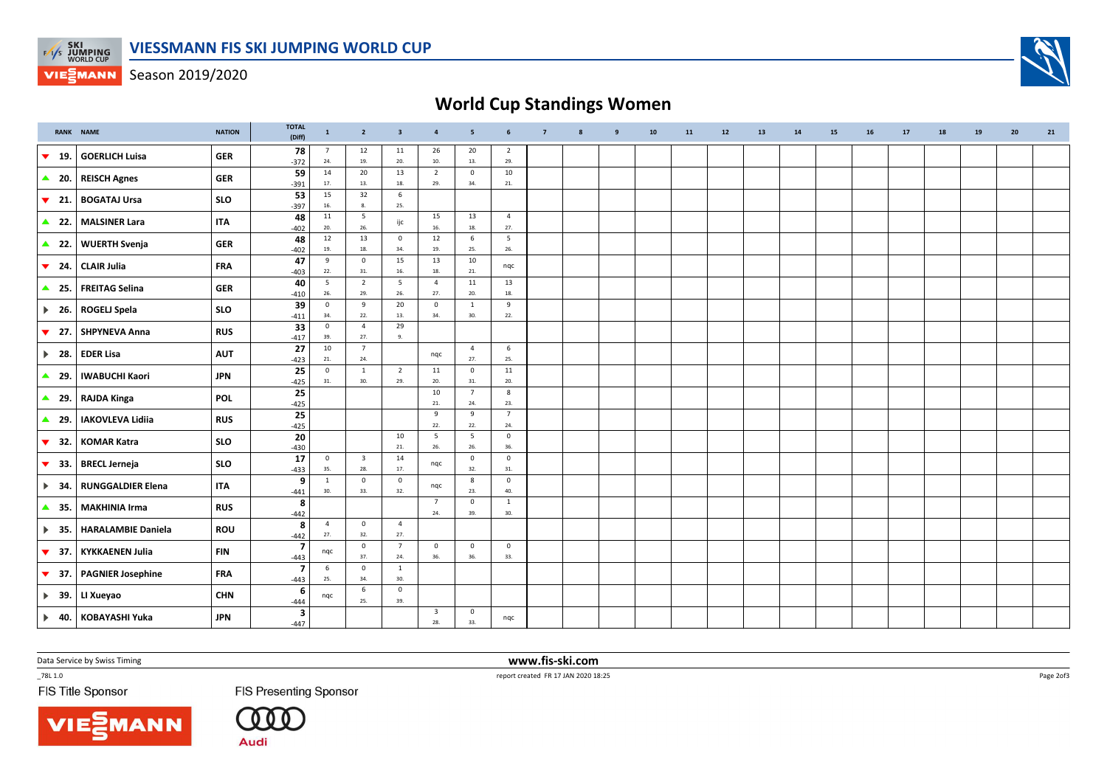

**VIESMANN** Season 2019/2020

## World Cup Standings Women

|                               | <b>RANK NAME</b>          | <b>NATION</b> | <b>TOTAL</b><br>(Diff)            | $\mathbf{1}$          | $\overline{2}$                 | $\overline{\mathbf{3}}$ | $\overline{4}$                 | 5                      | 6                     | $\overline{7}$ | 8 | $\overline{9}$ | 10 | 11 | 12 | 13 | 14 | 15 | 16 | 17 | 18 | 19 | 20 | 21 |
|-------------------------------|---------------------------|---------------|-----------------------------------|-----------------------|--------------------------------|-------------------------|--------------------------------|------------------------|-----------------------|----------------|---|----------------|----|----|----|----|----|----|----|----|----|----|----|----|
| $\blacktriangledown$<br>19.   | <b>GOERLICH Luisa</b>     | <b>GER</b>    | 78<br>$-372$                      | $\overline{7}$<br>24. | 12<br>19.                      | 11<br>20.               | 26<br>10.                      | 20<br>13.              | $\overline{2}$<br>29. |                |   |                |    |    |    |    |    |    |    |    |    |    |    |    |
| $\triangle$ 20.               | <b>REISCH Agnes</b>       | <b>GER</b>    | 59<br>$-391$                      | 14<br>17.             | 20<br>13.                      | 13<br>18.               | $\overline{2}$<br>29.          | $\mathbf 0$<br>34.     | 10<br>21.             |                |   |                |    |    |    |    |    |    |    |    |    |    |    |    |
| $\blacktriangledown$<br>- 21. | <b>BOGATAJ Ursa</b>       | <b>SLO</b>    | 53<br>$-397$                      | 15<br>16.             | 32<br>8.                       | 6<br>25.                |                                |                        |                       |                |   |                |    |    |    |    |    |    |    |    |    |    |    |    |
| $\triangle$ 22.               | <b>MALSINER Lara</b>      | <b>ITA</b>    | 48<br>$-402$                      | 11<br>20.             | $5\phantom{.0}$<br>26.         | ijc                     | 15<br>16.                      | 13<br>18.              | $\overline{4}$<br>27. |                |   |                |    |    |    |    |    |    |    |    |    |    |    |    |
| $\triangle$ 22.               | <b>WUERTH Svenja</b>      | <b>GER</b>    | 48<br>$-402$                      | 12<br>19.             | 13<br>18.                      | $\overline{0}$<br>34.   | 12<br>19.                      | 6<br>25.               | 5<br>26.              |                |   |                |    |    |    |    |    |    |    |    |    |    |    |    |
| $\blacktriangledown$<br>24.   | <b>CLAIR Julia</b>        | <b>FRA</b>    | 47<br>$-403$                      | 9<br>22.              | $\mathbf 0$<br>31.             | 15<br>16.               | 13<br>18.                      | 10<br>21.              | nqc                   |                |   |                |    |    |    |    |    |    |    |    |    |    |    |    |
| $\triangle$ 25.               | <b>FREITAG Selina</b>     | <b>GER</b>    | 40<br>$-410$                      | 5<br>26.              | $\overline{2}$<br>29.          | 5<br>26.                | $\overline{4}$<br>27.          | 11<br>20.              | 13<br>18.             |                |   |                |    |    |    |    |    |    |    |    |    |    |    |    |
| $\blacktriangleright$ 26.     | <b>ROGELJ Spela</b>       | <b>SLO</b>    | 39<br>$-411$                      | $\mathbf 0$<br>34.    | 9<br>22.                       | 20<br>13.               | $\mathbf 0$<br>34.             | 1<br>30.               | 9<br>22.              |                |   |                |    |    |    |    |    |    |    |    |    |    |    |    |
| $\blacktriangledown$<br>27.   | <b>SHPYNEVA Anna</b>      | <b>RUS</b>    | 33<br>$-417$                      | $\mathbf{0}$<br>39.   | $\overline{4}$<br>27.          | 29<br>9.                |                                |                        |                       |                |   |                |    |    |    |    |    |    |    |    |    |    |    |    |
| $\blacktriangleright$ 28.     | <b>EDER Lisa</b>          | <b>AUT</b>    | 27<br>$-423$                      | 10<br>21.             | $\overline{7}$<br>24.          |                         | nqc                            | $\overline{4}$<br>27.  | 6<br>25.              |                |   |                |    |    |    |    |    |    |    |    |    |    |    |    |
| ▲ 29.                         | <b>IWABUCHI Kaori</b>     | <b>JPN</b>    | 25<br>$-425$                      | $\mathbf{0}$<br>31.   | $\overline{1}$<br>30.          | $\overline{2}$<br>29.   | 11<br>20.                      | $\mathbf 0$<br>31.     | $11\,$<br>20.         |                |   |                |    |    |    |    |    |    |    |    |    |    |    |    |
| ▲ 29.                         | <b>RAJDA Kinga</b>        | <b>POL</b>    | 25<br>$-425$                      |                       |                                |                         | 10<br>21.                      | $\overline{7}$<br>24.  | 8<br>23.              |                |   |                |    |    |    |    |    |    |    |    |    |    |    |    |
| $\blacktriangle$<br>29.       | <b>IAKOVLEVA Lidiia</b>   | <b>RUS</b>    | 25<br>$-425$                      |                       |                                |                         | 9<br>22.                       | 9<br>22.               | $\overline{7}$<br>24. |                |   |                |    |    |    |    |    |    |    |    |    |    |    |    |
| $\blacktriangledown$<br>32.   | <b>KOMAR Katra</b>        | <b>SLO</b>    | 20<br>$-430$                      |                       |                                | 10<br>21.               | 5<br>26.                       | $5\overline{5}$<br>26. | $\mathbf 0$<br>36.    |                |   |                |    |    |    |    |    |    |    |    |    |    |    |    |
| $\blacktriangledown$<br>33.   | <b>BRECL Jerneja</b>      | <b>SLO</b>    | 17<br>$-433$                      | $\mathbf{0}$<br>35.   | $\overline{\mathbf{3}}$<br>28. | 14<br>17.               | nqc                            | $\mathsf 0$<br>32.     | $\mathbf 0$<br>31.    |                |   |                |    |    |    |    |    |    |    |    |    |    |    |    |
| $\blacktriangleright$ 34.     | <b>RUNGGALDIER Elena</b>  | <b>ITA</b>    | 9<br>$-441$                       | 1<br>30.              | $\mathsf 0$<br>33.             | $\overline{0}$<br>32.   | nqc                            | 8<br>23.               | $\mathbf{0}$<br>40.   |                |   |                |    |    |    |    |    |    |    |    |    |    |    |    |
| $\triangle$ 35.               | <b>MAKHINIA Irma</b>      | <b>RUS</b>    | 8<br>$-442$                       |                       |                                |                         | $\overline{7}$<br>24.          | $\mathbf 0$<br>39.     | <sup>1</sup><br>30.   |                |   |                |    |    |    |    |    |    |    |    |    |    |    |    |
| $\blacktriangleright$ 35.     | <b>HARALAMBIE Daniela</b> | <b>ROU</b>    | 8<br>$-442$                       | $\overline{4}$<br>27. | $\mathbf 0$<br>32.             | $\overline{4}$<br>27.   |                                |                        |                       |                |   |                |    |    |    |    |    |    |    |    |    |    |    |    |
| $\blacktriangledown$ 37.      | <b>KYKKAENEN Julia</b>    | <b>FIN</b>    | $\overline{\mathbf{z}}$<br>$-443$ | nqc                   | $\mathsf 0$<br>37.             | $7\overline{ }$<br>24.  | $\mathbf 0$<br>36.             | $\mathsf 0$<br>36.     | $\mathsf 0$<br>33.    |                |   |                |    |    |    |    |    |    |    |    |    |    |    |    |
| $\blacktriangledown$ 37.      | <b>PAGNIER Josephine</b>  | <b>FRA</b>    | $\overline{\mathbf{z}}$<br>$-443$ | 6<br>25.              | $\mathbf 0$<br>34.             | $\mathbf{1}$<br>30.     |                                |                        |                       |                |   |                |    |    |    |    |    |    |    |    |    |    |    |    |
| $\blacktriangleright$ 39.     | LI Xueyao                 | <b>CHN</b>    | 6<br>$-444$                       | nqc                   | 6<br>25.                       | $\mathsf 0$<br>39.      |                                |                        |                       |                |   |                |    |    |    |    |    |    |    |    |    |    |    |    |
| $\blacktriangleright$ 40.     | KOBAYASHI Yuka            | <b>JPN</b>    | 3<br>$-447$                       |                       |                                |                         | $\overline{\mathbf{3}}$<br>28. | $\mathbf 0$<br>33.     | nqc                   |                |   |                |    |    |    |    |    |    |    |    |    |    |    |    |

Data Service by Swiss Timing

**NN** 

 $-78L 1.0$ 

FIS Title Sponsor

**FIS Presenting Sponsor** 

 $\begin{smallmatrix} \text{\large 0} & \text{\large 0} & \text{\large 0} \end{smallmatrix}$ **Audi** 

 www.fis-ski.comreport created FR 17 JAN 2020 18:25

Page 2of3